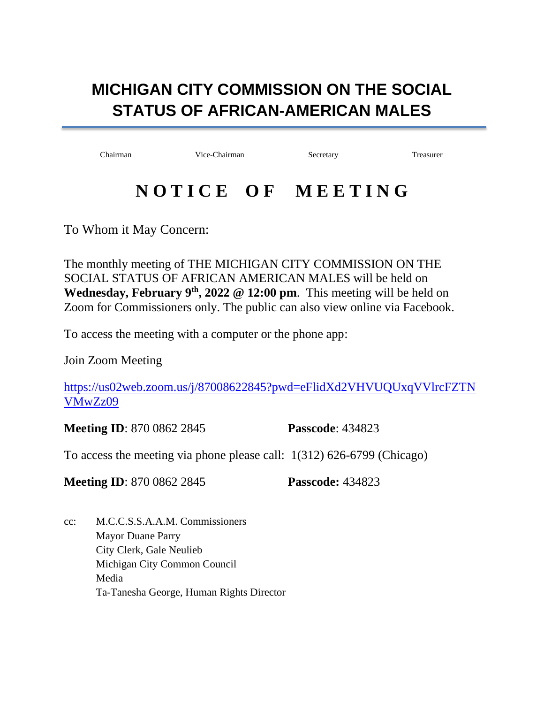## **MICHIGAN CITY COMMISSION ON THE SOCIAL STATUS OF AFRICAN-AMERICAN MALES**

Chairman Vice-Chairman Secretary Treasurer

## **N O T I C E O F M E E T I N G**

To Whom it May Concern:

The monthly meeting of THE MICHIGAN CITY COMMISSION ON THE SOCIAL STATUS OF AFRICAN AMERICAN MALES will be held on **Wednesday, February**  $9<sup>th</sup>$ **, 2022 @ 12:00 pm. This meeting will be held on** Zoom for Commissioners only. The public can also view online via Facebook.

To access the meeting with a computer or the phone app:

Join Zoom Meeting

[https://us02web.zoom.us/j/87008622845?pwd=eFlidXd2VHVUQUxqVVlrcFZTN](https://us02web.zoom.us/j/87008622845?pwd=eFlidXd2VHVUQUxqVVlrcFZTNVMwZz09) [VMwZz09](https://us02web.zoom.us/j/87008622845?pwd=eFlidXd2VHVUQUxqVVlrcFZTNVMwZz09)

**Meeting ID**: 870 0862 2845 **Passcode**: 434823

To access the meeting via phone please call: 1(312) 626-6799 (Chicago)

**Meeting ID**: 870 0862 2845 **Passcode:** 434823

cc: M.C.C.S.S.A.A.M. Commissioners Mayor Duane Parry City Clerk, Gale Neulieb Michigan City Common Council Media Ta-Tanesha George, Human Rights Director